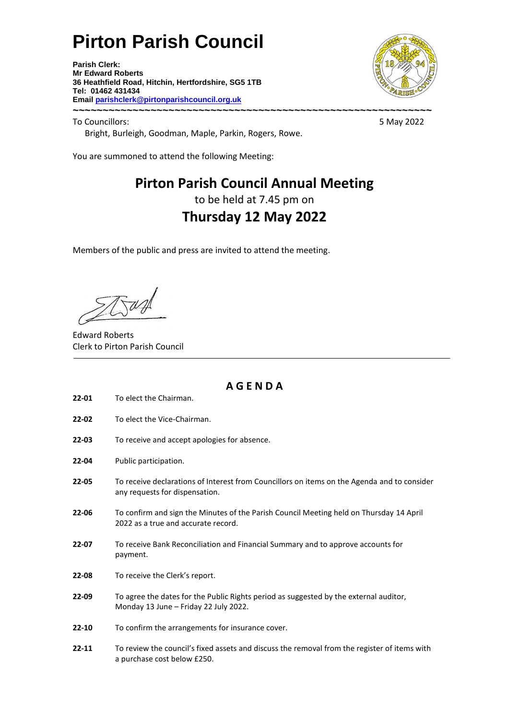# **Pirton Parish Council**

**Parish Clerk: Mr Edward Roberts 36 Heathfield Road, Hitchin, Hertfordshire, SG5 1TB Tel: 01462 431434 Email parishclerk@pirtonparishcouncil.org.uk ~~~~~~~~~~~~~~~~~~~~~~~~~~~~~~~~~~~~~~~~~~~~~~~~~~~~~~~~~~~~**



To Councillors: 5 May 2022 Bright, Burleigh, Goodman, Maple, Parkin, Rogers, Rowe.

You are summoned to attend the following Meeting:

### **Pirton Parish Council Annual Meeting**

to be held at 7.45 pm on

## **Thursday 12 May 2022**

Members of the public and press are invited to attend the meeting.

Edward Roberts Clerk to Pirton Parish Council

**A G E N D A**

- **22-01** To elect the Chairman.
- **22-02** To elect the Vice-Chairman.
- **22-03** To receive and accept apologies for absence.
- **22-04** Public participation.
- **22-05** To receive declarations of Interest from Councillors on items on the Agenda and to consider any requests for dispensation.
- **22-06** To confirm and sign the Minutes of the Parish Council Meeting held on Thursday 14 April 2022 as a true and accurate record.
- **22-07** To receive Bank Reconciliation and Financial Summary and to approve accounts for payment.
- **22-08** To receive the Clerk's report.
- **22-09** To agree the dates for the Public Rights period as suggested by the external auditor, Monday 13 June – Friday 22 July 2022.
- **22-10** To confirm the arrangements for insurance cover.
- **22-11** To review the council's fixed assets and discuss the removal from the register of items with a purchase cost below £250.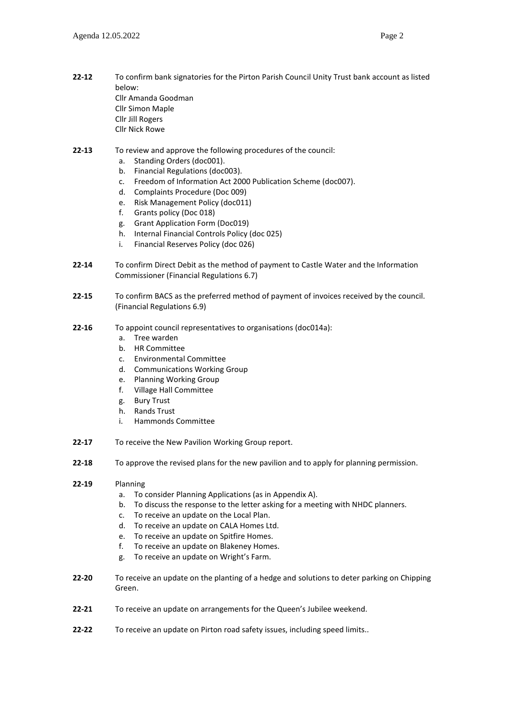- Cllr Jill Rogers
- Cllr Nick Rowe

#### **22-13** To review and approve the following procedures of the council:

- a. Standing Orders (doc001).
- b. Financial Regulations (doc003).
- c. Freedom of Information Act 2000 Publication Scheme (doc007).
- d. Complaints Procedure (Doc 009)
- e. Risk Management Policy (doc011)
- f. Grants policy (Doc 018)
- g. Grant Application Form (Doc019)
- h. Internal Financial Controls Policy (doc 025)
- i. Financial Reserves Policy (doc 026)
- **22-14** To confirm Direct Debit as the method of payment to Castle Water and the Information Commissioner (Financial Regulations 6.7)
- **22-15** To confirm BACS as the preferred method of payment of invoices received by the council. (Financial Regulations 6.9)
- **22-16** To appoint council representatives to organisations (doc014a):
	- a. Tree warden
	- b. HR Committee
	- c. Environmental Committee
	- d. Communications Working Group
	- e. Planning Working Group
	- f. Village Hall Committee
	- g. Bury Trust
	- h. Rands Trust
	- i. Hammonds Committee
- **22-17** To receive the New Pavilion Working Group report.
- **22-18** To approve the revised plans for the new pavilion and to apply for planning permission.
- **22-19** Planning
	- a. To consider Planning Applications (as in Appendix A).
	- b. To discuss the response to the letter asking for a meeting with NHDC planners.
	- c. To receive an update on the Local Plan.
	- d. To receive an update on CALA Homes Ltd.
	- e. To receive an update on Spitfire Homes.
	- f. To receive an update on Blakeney Homes.
	- g. To receive an update on Wright's Farm.
- **22-20** To receive an update on the planting of a hedge and solutions to deter parking on Chipping Green.
- **22-21** To receive an update on arrangements for the Queen's Jubilee weekend.
- **22-22** To receive an update on Pirton road safety issues, including speed limits..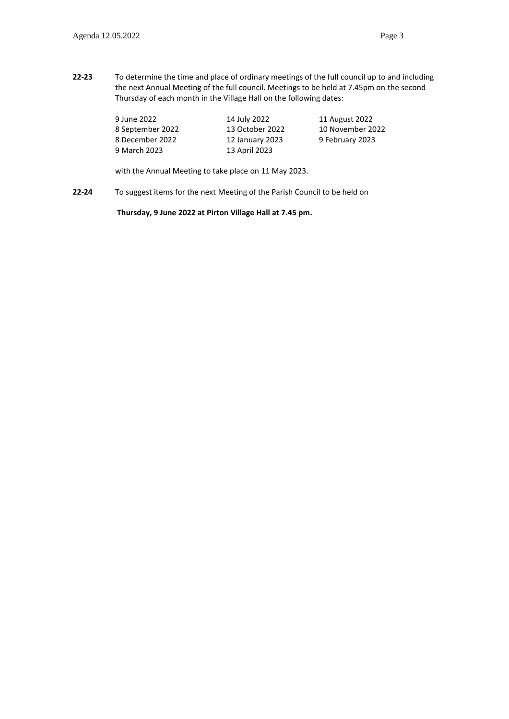**22-23** To determine the time and place of ordinary meetings of the full council up to and including the next Annual Meeting of the full council. Meetings to be held at 7.45pm on the second Thursday of each month in the Village Hall on the following dates:

| 9 June 2022      | 14 July 2022    | 11 August 2022   |
|------------------|-----------------|------------------|
| 8 September 2022 | 13 October 2022 | 10 November 2022 |
| 8 December 2022  | 12 January 2023 | 9 February 2023  |
| 9 March 2023     | 13 April 2023   |                  |
|                  |                 |                  |

with the Annual Meeting to take place on 11 May 2023.

**22-24** To suggest items for the next Meeting of the Parish Council to be held on

**Thursday, 9 June 2022 at Pirton Village Hall at 7.45 pm.**